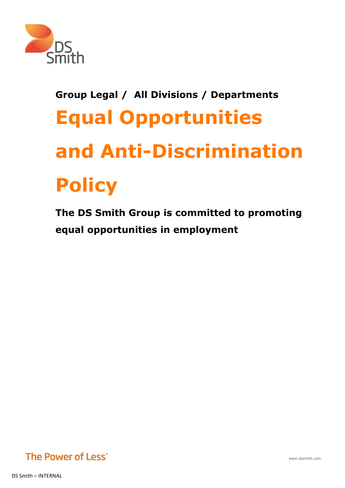

# **Group Legal / All Divisions / Departments Equal Opportunities and Anti-Discrimination Policy**

**The DS Smith Group is committed to promoting equal opportunities in employment**



DS Smith – INTERNAL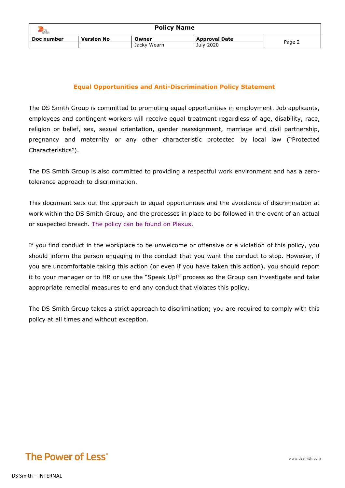| <b>Smith</b> | <b>Policy Name</b> |             |                      |        |  |  |
|--------------|--------------------|-------------|----------------------|--------|--|--|
| Doc number   | <b>Version No</b>  | Owner       | <b>Approval Date</b> |        |  |  |
|              |                    | Jacky Wearn | July 2020            | Page 2 |  |  |

#### **Equal Opportunities and Anti-Discrimination Policy Statement**

The DS Smith Group is committed to promoting equal opportunities in employment. Job applicants, employees and contingent workers will receive equal treatment regardless of age, disability, race, religion or belief, sex, sexual orientation, gender reassignment, marriage and civil partnership, pregnancy and maternity or any other characteristic protected by local law ("Protected Characteristics").

The DS Smith Group is also committed to providing a respectful work environment and has a zerotolerance approach to discrimination.

This document sets out the approach to equal opportunities and the avoidance of discrimination at work within the DS Smith Group, and the processes in place to be followed in the event of an actual or suspected breach. [The policy can be found on Plexus.](https://dss365.sharepoint.com/sites/plexus/Divisions/Group/Pages/Group-HR-Policies.aspx)

If you find conduct in the workplace to be unwelcome or offensive or a violation of this policy, you should inform the person engaging in the conduct that you want the conduct to stop. However, if you are uncomfortable taking this action (or even if you have taken this action), you should report it to your manager or to HR or use the "Speak Up!" process so the Group can investigate and take appropriate remedial measures to end any conduct that violates this policy.

The DS Smith Group takes a strict approach to discrimination; you are required to comply with this policy at all times and without exception.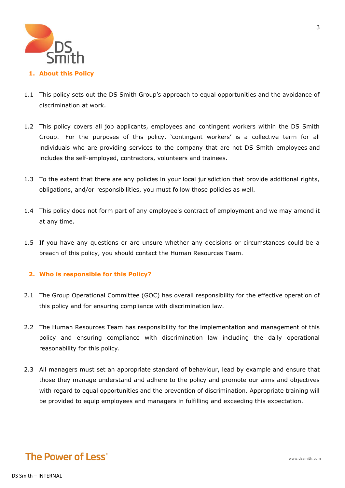

### 1.1 This policy sets out the DS Smith Group's approach to equal opportunities and the avoidance of discrimination at work.

- 1.2 This policy covers all job applicants, employees and contingent workers within the DS Smith Group. For the purposes of this policy, 'contingent workers' is a collective term for all individuals who are providing services to the company that are not DS Smith employees and includes the self-employed, contractors, volunteers and trainees.
- 1.3 To the extent that there are any policies in your local jurisdiction that provide additional rights, obligations, and/or responsibilities, you must follow those policies as well.
- 1.4 This policy does not form part of any employee's contract of employment and we may amend it at any time.
- 1.5 If you have any questions or are unsure whether any decisions or circumstances could be a breach of this policy, you should contact the Human Resources Team.

#### **2. Who is responsible for this Policy?**

- 2.1 The Group Operational Committee (GOC) has overall responsibility for the effective operation of this policy and for ensuring compliance with discrimination law.
- 2.2 The Human Resources Team has responsibility for the implementation and management of this policy and ensuring compliance with discrimination law including the daily operational reasonability for this policy.
- 2.3 All managers must set an appropriate standard of behaviour, lead by example and ensure that those they manage understand and adhere to the policy and promote our aims and objectives with regard to equal opportunities and the prevention of discrimination. Appropriate training will be provided to equip employees and managers in fulfilling and exceeding this expectation.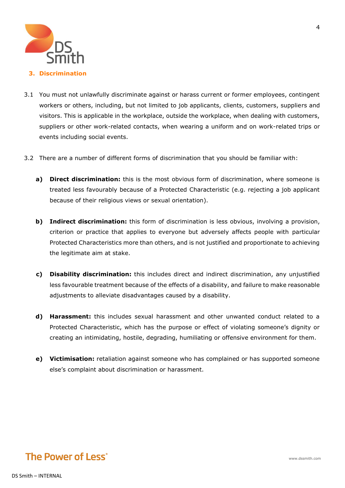

#### **3. Discrimination**

- 3.1 You must not unlawfully discriminate against or harass current or former employees, contingent workers or others, including, but not limited to job applicants, clients, customers, suppliers and visitors. This is applicable in the workplace, outside the workplace, when dealing with customers, suppliers or other work-related contacts, when wearing a uniform and on work-related trips or events including social events.
- 3.2 There are a number of different forms of discrimination that you should be familiar with:
	- **a) Direct discrimination:** this is the most obvious form of discrimination, where someone is treated less favourably because of a Protected Characteristic (e.g. rejecting a job applicant because of their religious views or sexual orientation).
	- **b) Indirect discrimination:** this form of discrimination is less obvious, involving a provision, criterion or practice that applies to everyone but adversely affects people with particular Protected Characteristics more than others, and is not justified and proportionate to achieving the legitimate aim at stake.
	- **c) Disability discrimination:** this includes direct and indirect discrimination, any unjustified less favourable treatment because of the effects of a disability, and failure to make reasonable adjustments to alleviate disadvantages caused by a disability.
	- **d) Harassment:** this includes sexual harassment and other unwanted conduct related to a Protected Characteristic, which has the purpose or effect of violating someone's dignity or creating an intimidating, hostile, degrading, humiliating or offensive environment for them.
	- **e) Victimisation:** retaliation against someone who has complained or has supported someone else's complaint about discrimination or harassment.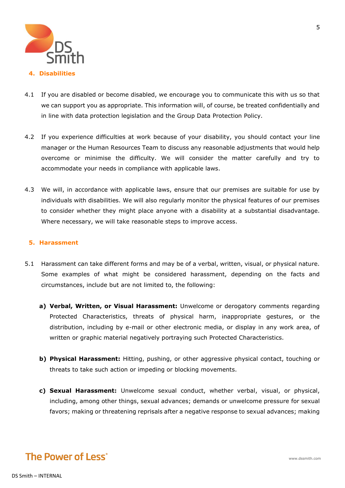

- 4.1 If you are disabled or become disabled, we encourage you to communicate this with us so that we can support you as appropriate. This information will, of course, be treated confidentially and in line with data protection legislation and the Group Data Protection Policy.
- 4.2 If you experience difficulties at work because of your disability, you should contact your line manager or the Human Resources Team to discuss any reasonable adjustments that would help overcome or minimise the difficulty. We will consider the matter carefully and try to accommodate your needs in compliance with applicable laws.
- 4.3 We will, in accordance with applicable laws, ensure that our premises are suitable for use by individuals with disabilities. We will also regularly monitor the physical features of our premises to consider whether they might place anyone with a disability at a substantial disadvantage. Where necessary, we will take reasonable steps to improve access.

#### **5. Harassment**

- 5.1 Harassment can take different forms and may be of a verbal, written, visual, or physical nature. Some examples of what might be considered harassment, depending on the facts and circumstances, include but are not limited to, the following:
	- **a) Verbal, Written, or Visual Harassment:** Unwelcome or derogatory comments regarding Protected Characteristics, threats of physical harm, inappropriate gestures, or the distribution, including by e-mail or other electronic media, or display in any work area, of written or graphic material negatively portraying such Protected Characteristics.
	- **b) Physical Harassment:** Hitting, pushing, or other aggressive physical contact, touching or threats to take such action or impeding or blocking movements.
	- **c) Sexual Harassment:** Unwelcome sexual conduct, whether verbal, visual, or physical, including, among other things, sexual advances; demands or unwelcome pressure for sexual favors; making or threatening reprisals after a negative response to sexual advances; making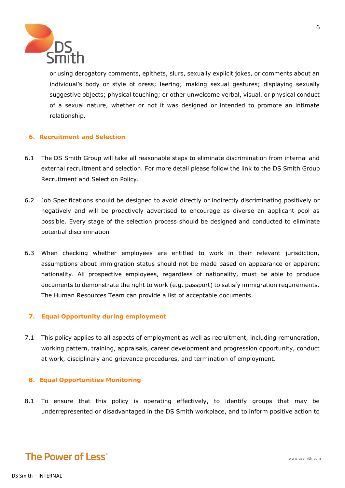

or using derogatory comments, epithets, slurs, sexually explicit jokes, or comments about an individual's body or style of dress; leering; making sexual gestures; displaying sexually suggestive objects; physical touching; or other unwelcome verbal, visual, or physical conduct of a sexual nature, whether or not it was designed or intended to promote an intimate relationship.

#### **6. Recruitment and Selection**

- 6.1 The DS Smith Group will take all reasonable steps to eliminate discrimination from internal and external recruitment and selection. For more detail please follow the link to the DS Smith Group Recruitment and Selection Policy.
- 6.2 Job Specifications should be designed to avoid directly or indirectly discriminating positively or negatively and will be proactively advertised to encourage as diverse an applicant pool as possible. Every stage of the selection process should be designed and conducted to eliminate potential discrimination
- 6.3 When checking whether employees are entitled to work in their relevant jurisdiction, assumptions about immigration status should not be made based on appearance or apparent nationality. All prospective employees, regardless of nationality, must be able to produce documents to demonstrate the right to work (e.g. passport) to satisfy immigration requirements. The Human Resources Team can provide a list of acceptable documents.

#### **7. Equal Opportunity during employment**

7.1 This policy applies to all aspects of employment as well as recruitment, including remuneration, working pattern, training, appraisals, career development and progression opportunity, conduct at work, disciplinary and grievance procedures, and termination of employment.

#### **8. Equal Opportunities Monitoring**

8.1 To ensure that this policy is operating effectively, to identify groups that may be underrepresented or disadvantaged in the DS Smith workplace, and to inform positive action to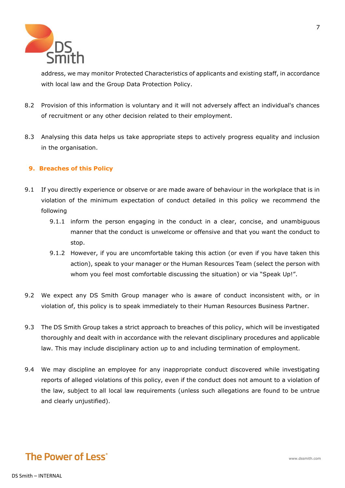

address, we may monitor Protected Characteristics of applicants and existing staff, in accordance with local law and the Group Data Protection Policy.

- 8.2 Provision of this information is voluntary and it will not adversely affect an individual's chances of recruitment or any other decision related to their employment.
- 8.3 Analysing this data helps us take appropriate steps to actively progress equality and inclusion in the organisation.

#### **9. Breaches of this Policy**

- 9.1 If you directly experience or observe or are made aware of behaviour in the workplace that is in violation of the minimum expectation of conduct detailed in this policy we recommend the following
	- 9.1.1 inform the person engaging in the conduct in a clear, concise, and unambiguous manner that the conduct is unwelcome or offensive and that you want the conduct to stop.
	- 9.1.2 However, if you are uncomfortable taking this action (or even if you have taken this action), speak to your manager or the Human Resources Team (select the person with whom you feel most comfortable discussing the situation) or via "Speak Up!".
- 9.2 We expect any DS Smith Group manager who is aware of conduct inconsistent with, or in violation of, this policy is to speak immediately to their Human Resources Business Partner.
- 9.3 The DS Smith Group takes a strict approach to breaches of this policy, which will be investigated thoroughly and dealt with in accordance with the relevant disciplinary procedures and applicable law. This may include disciplinary action up to and including termination of employment.
- 9.4 We may discipline an employee for any inappropriate conduct discovered while investigating reports of alleged violations of this policy, even if the conduct does not amount to a violation of the law, subject to all local law requirements (unless such allegations are found to be untrue and clearly unjustified).